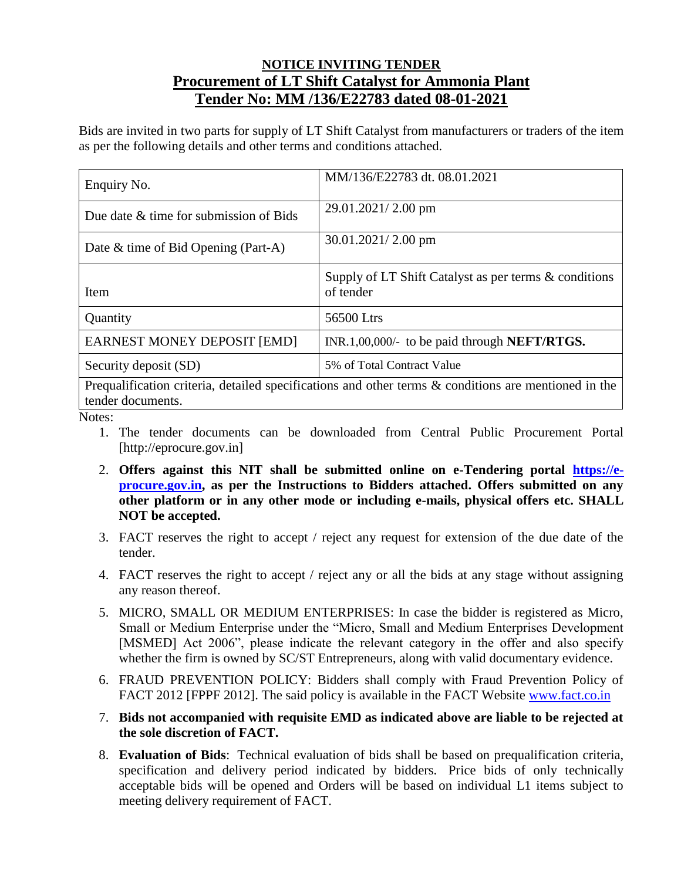## **NOTICE INVITING TENDER Procurement of LT Shift Catalyst for Ammonia Plant Tender No: MM /136/E22783 dated 08-01-2021**

Bids are invited in two parts for supply of LT Shift Catalyst from manufacturers or traders of the item as per the following details and other terms and conditions attached.

| Enquiry No.                            | MM/136/E22783 dt. 08.01.2021                                       |  |
|----------------------------------------|--------------------------------------------------------------------|--|
| Due date & time for submission of Bids | 29.01.2021/2.00 pm                                                 |  |
| Date & time of Bid Opening (Part-A)    | $30.01.2021/2.00$ pm                                               |  |
| Item                                   | Supply of LT Shift Catalyst as per terms & conditions<br>of tender |  |
| Quantity                               | 56500 Ltrs                                                         |  |
| <b>EARNEST MONEY DEPOSIT [EMD]</b>     | INR.1,00,000/- to be paid through <b>NEFT/RTGS.</b>                |  |
| Security deposit (SD)                  | 5% of Total Contract Value                                         |  |
|                                        | $  -$                                                              |  |

Prequalification criteria, detailed specifications and other terms & conditions are mentioned in the tender documents.

Notes:

- 1. The tender documents can be downloaded from Central Public Procurement Portal [http://eprocure.gov.in]
- 2. **Offers against this NIT shall be submitted online on e-Tendering portal [https://e](https://e-procure.gov.in/)[procure.gov.in,](https://e-procure.gov.in/) as per the Instructions to Bidders attached. Offers submitted on any other platform or in any other mode or including e-mails, physical offers etc. SHALL NOT be accepted.**
- 3. FACT reserves the right to accept / reject any request for extension of the due date of the tender.
- 4. FACT reserves the right to accept / reject any or all the bids at any stage without assigning any reason thereof.
- 5. MICRO, SMALL OR MEDIUM ENTERPRISES: In case the bidder is registered as Micro, Small or Medium Enterprise under the "Micro, Small and Medium Enterprises Development [MSMED] Act 2006", please indicate the relevant category in the offer and also specify whether the firm is owned by SC/ST Entrepreneurs, along with valid documentary evidence.
- 6. FRAUD PREVENTION POLICY: Bidders shall comply with Fraud Prevention Policy of FACT 2012 [FPPF 2012]. The said policy is available in the FACT Website [www.fact.co.in](http://www.fact.co.in/)
- 7. **Bids not accompanied with requisite EMD as indicated above are liable to be rejected at the sole discretion of FACT.**
- 8. **Evaluation of Bids**: Technical evaluation of bids shall be based on prequalification criteria, specification and delivery period indicated by bidders. Price bids of only technically acceptable bids will be opened and Orders will be based on individual L1 items subject to meeting delivery requirement of FACT.